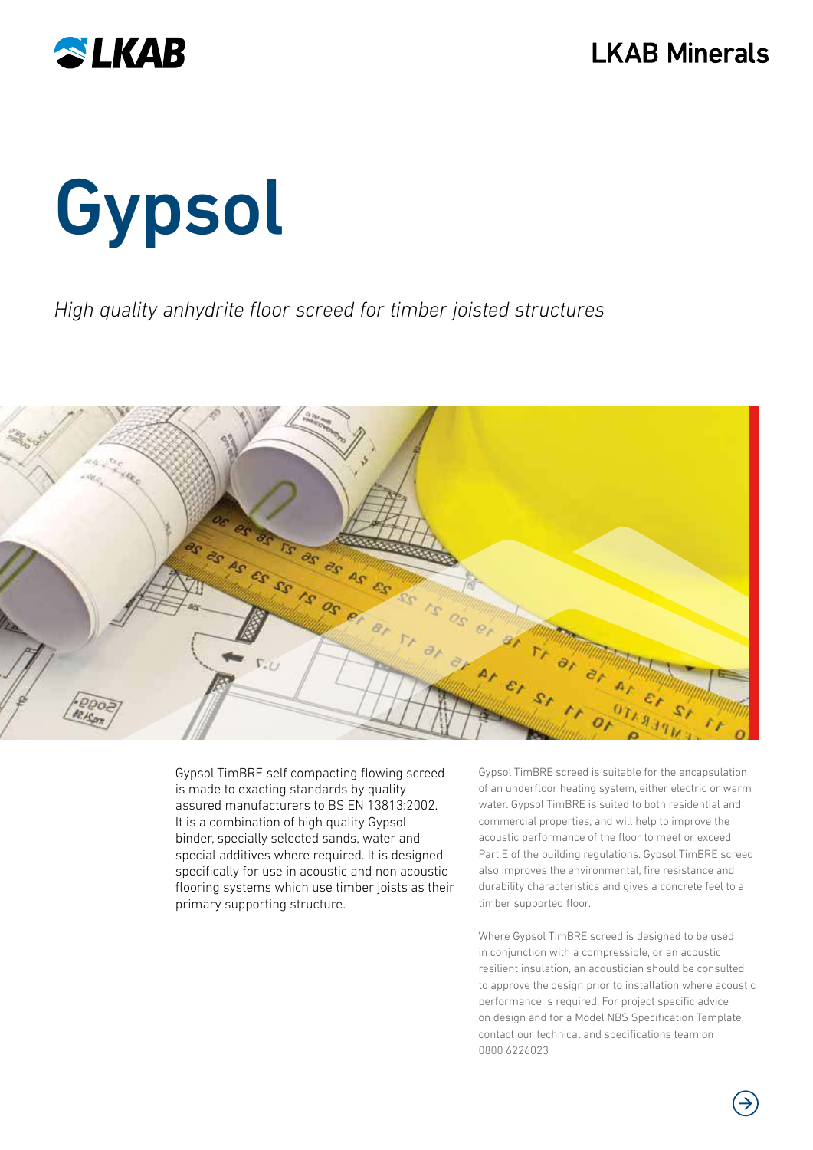

# **Gypsol**

High quality anhydrite floor screed for timber joisted structures



Gypsol TimBRE self compacting flowing screed is made to exacting standards by quality assured manufacturers to BS EN 13813:2002. It is a combination of high quality Gypsol binder, specially selected sands, water and special additives where required. It is designed specifically for use in acoustic and non acoustic flooring systems which use timber joists as their primary supporting structure.

Gypsol TimBRE screed is suitable for the encapsulation of an underfloor heating system, either electric or warm water. Gypsol TimBRE is suited to both residential and commercial properties, and will help to improve the acoustic performance of the floor to meet or exceed Part E of the building regulations. Gypsol TimBRE screed also improves the environmental, fire resistance and durability characteristics and gives a concrete feel to a timber supported floor.

Where Gypsol TimBRE screed is designed to be used in conjunction with a compressible, or an acoustic resilient insulation, an acoustician should be consulted to approve the design prior to installation where acoustic performance is required. For project specific advice on design and for a Model NBS Specification Template, contact our technical and specifications team on 0800 6226023